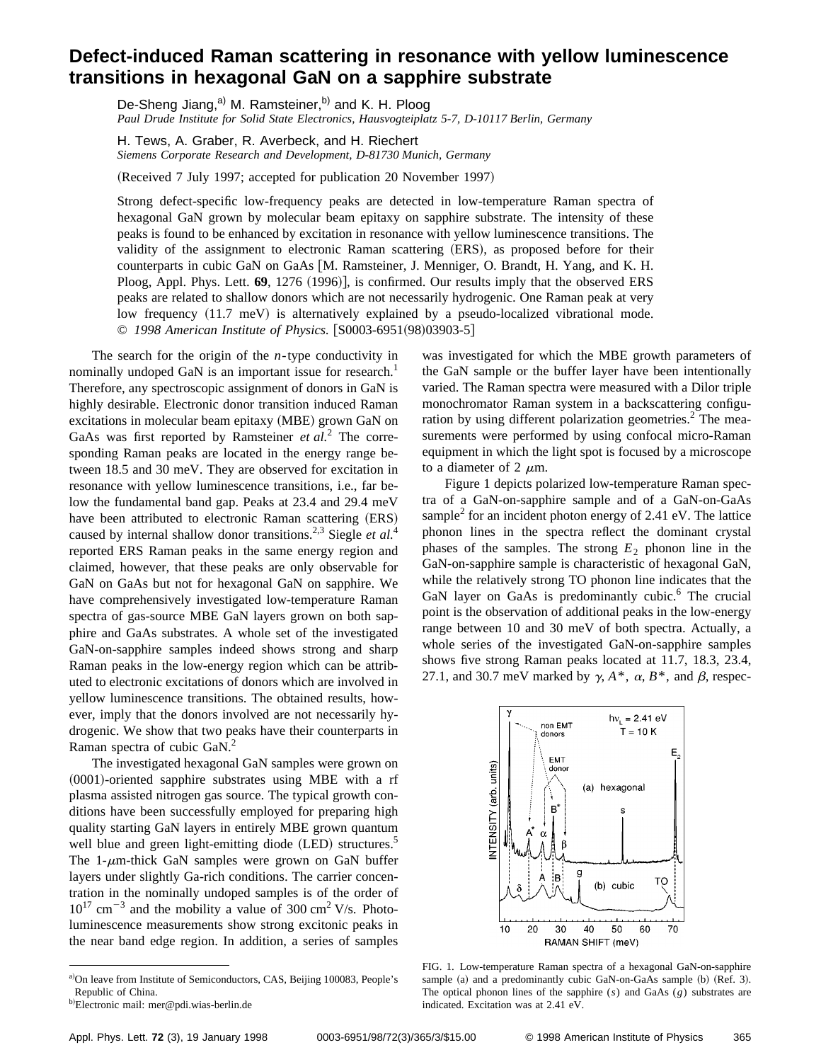## **Defect-induced Raman scattering in resonance with yellow luminescence transitions in hexagonal GaN on a sapphire substrate**

De-Sheng Jiang,<sup>a)</sup> M. Ramsteiner,<sup>b)</sup> and K. H. Ploog *Paul Drude Institute for Solid State Electronics, Hausvogteiplatz 5-7, D-10117 Berlin, Germany*

H. Tews, A. Graber, R. Averbeck, and H. Riechert *Siemens Corporate Research and Development, D-81730 Munich, Germany*

(Received 7 July 1997; accepted for publication 20 November 1997)

Strong defect-specific low-frequency peaks are detected in low-temperature Raman spectra of hexagonal GaN grown by molecular beam epitaxy on sapphire substrate. The intensity of these peaks is found to be enhanced by excitation in resonance with yellow luminescence transitions. The validity of the assignment to electronic Raman scattering (ERS), as proposed before for their counterparts in cubic GaN on GaAs [M. Ramsteiner, J. Menniger, O. Brandt, H. Yang, and K. H. Ploog, Appl. Phys. Lett. **69**, 1276 (1996)], is confirmed. Our results imply that the observed ERS peaks are related to shallow donors which are not necessarily hydrogenic. One Raman peak at very low frequency  $(11.7 \text{ meV})$  is alternatively explained by a pseudo-localized vibrational mode. © 1998 American Institute of Physics. [S0003-6951(98)03903-5]

The search for the origin of the *n*-type conductivity in nominally undoped GaN is an important issue for research.<sup>1</sup> Therefore, any spectroscopic assignment of donors in GaN is highly desirable. Electronic donor transition induced Raman excitations in molecular beam epitaxy (MBE) grown GaN on GaAs was first reported by Ramsteiner *et al.*<sup>2</sup> The corresponding Raman peaks are located in the energy range between 18.5 and 30 meV. They are observed for excitation in resonance with yellow luminescence transitions, i.e., far below the fundamental band gap. Peaks at 23.4 and 29.4 meV have been attributed to electronic Raman scattering (ERS) caused by internal shallow donor transitions.<sup>2,3</sup> Siegle *et al.*<sup>4</sup> reported ERS Raman peaks in the same energy region and claimed, however, that these peaks are only observable for GaN on GaAs but not for hexagonal GaN on sapphire. We have comprehensively investigated low-temperature Raman spectra of gas-source MBE GaN layers grown on both sapphire and GaAs substrates. A whole set of the investigated GaN-on-sapphire samples indeed shows strong and sharp Raman peaks in the low-energy region which can be attributed to electronic excitations of donors which are involved in yellow luminescence transitions. The obtained results, however, imply that the donors involved are not necessarily hydrogenic. We show that two peaks have their counterparts in Raman spectra of cubic GaN.2

The investigated hexagonal GaN samples were grown on  $(0001)$ -oriented sapphire substrates using MBE with a rf plasma assisted nitrogen gas source. The typical growth conditions have been successfully employed for preparing high quality starting GaN layers in entirely MBE grown quantum well blue and green light-emitting diode (LED) structures.<sup>5</sup> The 1- $\mu$ m-thick GaN samples were grown on GaN buffer layers under slightly Ga-rich conditions. The carrier concentration in the nominally undoped samples is of the order of  $10^{17}$  cm<sup>-3</sup> and the mobility a value of 300 cm<sup>2</sup> V/s. Photoluminescence measurements show strong excitonic peaks in the near band edge region. In addition, a series of samples

was investigated for which the MBE growth parameters of the GaN sample or the buffer layer have been intentionally varied. The Raman spectra were measured with a Dilor triple monochromator Raman system in a backscattering configuration by using different polarization geometries.<sup>2</sup> The measurements were performed by using confocal micro-Raman equipment in which the light spot is focused by a microscope to a diameter of 2  $\mu$ m.

Figure 1 depicts polarized low-temperature Raman spectra of a GaN-on-sapphire sample and of a GaN-on-GaAs sample<sup>2</sup> for an incident photon energy of  $2.41$  eV. The lattice phonon lines in the spectra reflect the dominant crystal phases of the samples. The strong  $E_2$  phonon line in the GaN-on-sapphire sample is characteristic of hexagonal GaN, while the relatively strong TO phonon line indicates that the GaN layer on GaAs is predominantly cubic. $6$  The crucial point is the observation of additional peaks in the low-energy range between 10 and 30 meV of both spectra. Actually, a whole series of the investigated GaN-on-sapphire samples shows five strong Raman peaks located at 11.7, 18.3, 23.4, 27.1, and 30.7 meV marked by  $\gamma$ ,  $A^*$ ,  $\alpha$ ,  $B^*$ , and  $\beta$ , respec-



FIG. 1. Low-temperature Raman spectra of a hexagonal GaN-on-sapphire sample (a) and a predominantly cubic GaN-on-GaAs sample (b) (Ref. 3). The optical phonon lines of the sapphire (*s*) and GaAs (*g*) substrates are indicated. Excitation was at 2.41 eV.

a)On leave from Institute of Semiconductors, CAS, Beijing 100083, People's Republic of China.

b)Electronic mail: mer@pdi.wias-berlin.de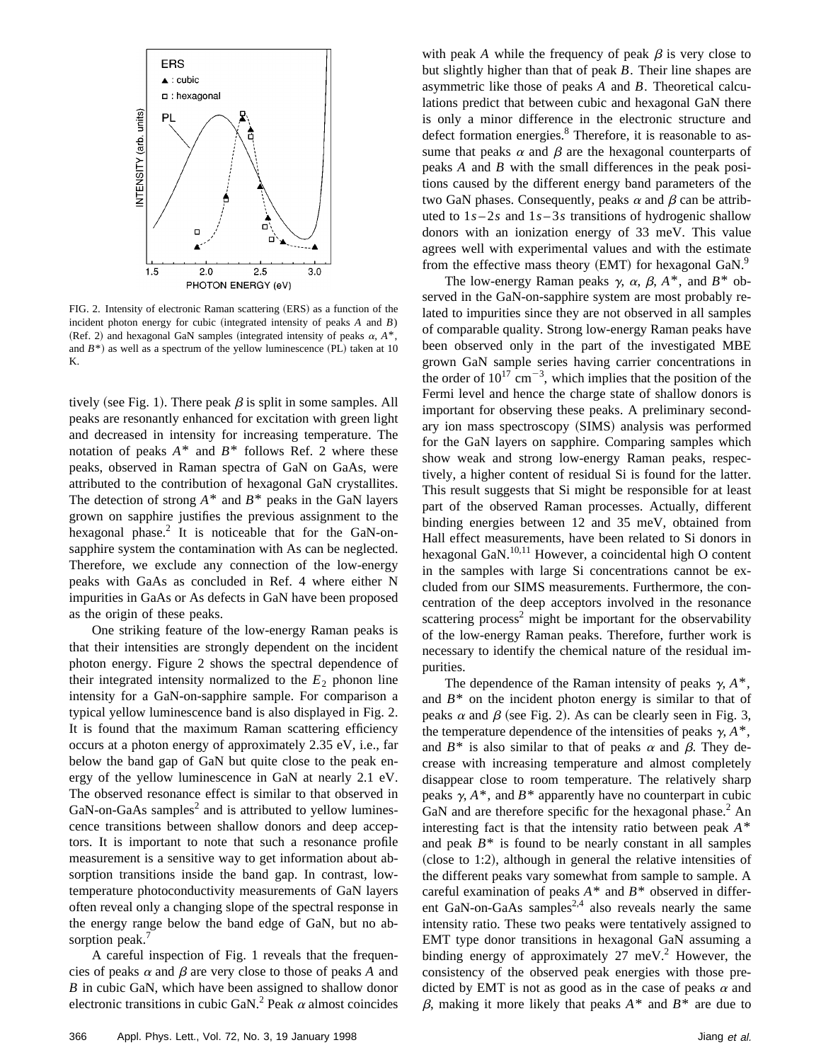

FIG. 2. Intensity of electronic Raman scattering (ERS) as a function of the incident photon energy for cubic (integrated intensity of peaks  $A$  and  $B$ ) (Ref. 2) and hexagonal GaN samples (integrated intensity of peaks  $\alpha$ ,  $A^*$ , and  $B^*$ ) as well as a spectrum of the yellow luminescence (PL) taken at 10 K.

tively (see Fig. 1). There peak  $\beta$  is split in some samples. All peaks are resonantly enhanced for excitation with green light and decreased in intensity for increasing temperature. The notation of peaks  $A^*$  and  $B^*$  follows Ref. 2 where these peaks, observed in Raman spectra of GaN on GaAs, were attributed to the contribution of hexagonal GaN crystallites. The detection of strong  $A^*$  and  $B^*$  peaks in the GaN layers grown on sapphire justifies the previous assignment to the hexagonal phase.<sup>2</sup> It is noticeable that for the GaN-onsapphire system the contamination with As can be neglected. Therefore, we exclude any connection of the low-energy peaks with GaAs as concluded in Ref. 4 where either N impurities in GaAs or As defects in GaN have been proposed as the origin of these peaks.

One striking feature of the low-energy Raman peaks is that their intensities are strongly dependent on the incident photon energy. Figure 2 shows the spectral dependence of their integrated intensity normalized to the  $E_2$  phonon line intensity for a GaN-on-sapphire sample. For comparison a typical yellow luminescence band is also displayed in Fig. 2. It is found that the maximum Raman scattering efficiency occurs at a photon energy of approximately 2.35 eV, i.e., far below the band gap of GaN but quite close to the peak energy of the yellow luminescence in GaN at nearly 2.1 eV. The observed resonance effect is similar to that observed in  $GaN$ -on-GaAs samples<sup>2</sup> and is attributed to yellow luminescence transitions between shallow donors and deep acceptors. It is important to note that such a resonance profile measurement is a sensitive way to get information about absorption transitions inside the band gap. In contrast, lowtemperature photoconductivity measurements of GaN layers often reveal only a changing slope of the spectral response in the energy range below the band edge of GaN, but no absorption peak.<sup>7</sup>

A careful inspection of Fig. 1 reveals that the frequencies of peaks  $\alpha$  and  $\beta$  are very close to those of peaks  $A$  and *B* in cubic GaN, which have been assigned to shallow donor electronic transitions in cubic GaN.<sup>2</sup> Peak  $\alpha$  almost coincides with peak *A* while the frequency of peak  $\beta$  is very close to but slightly higher than that of peak *B*. Their line shapes are asymmetric like those of peaks *A* and *B*. Theoretical calculations predict that between cubic and hexagonal GaN there is only a minor difference in the electronic structure and defect formation energies.<sup>8</sup> Therefore, it is reasonable to assume that peaks  $\alpha$  and  $\beta$  are the hexagonal counterparts of peaks *A* and *B* with the small differences in the peak positions caused by the different energy band parameters of the two GaN phases. Consequently, peaks  $\alpha$  and  $\beta$  can be attributed to  $1s-2s$  and  $1s-3s$  transitions of hydrogenic shallow donors with an ionization energy of 33 meV. This value agrees well with experimental values and with the estimate from the effective mass theory  $(EMT)$  for hexagonal GaN.<sup>9</sup>

The low-energy Raman peaks  $\gamma$ ,  $\alpha$ ,  $\beta$ ,  $A^*$ , and  $B^*$  observed in the GaN-on-sapphire system are most probably related to impurities since they are not observed in all samples of comparable quality. Strong low-energy Raman peaks have been observed only in the part of the investigated MBE grown GaN sample series having carrier concentrations in the order of  $10^{17}$  cm<sup>-3</sup>, which implies that the position of the Fermi level and hence the charge state of shallow donors is important for observing these peaks. A preliminary secondary ion mass spectroscopy (SIMS) analysis was performed for the GaN layers on sapphire. Comparing samples which show weak and strong low-energy Raman peaks, respectively, a higher content of residual Si is found for the latter. This result suggests that Si might be responsible for at least part of the observed Raman processes. Actually, different binding energies between 12 and 35 meV, obtained from Hall effect measurements, have been related to Si donors in hexagonal GaN.<sup>10,11</sup> However, a coincidental high O content in the samples with large Si concentrations cannot be excluded from our SIMS measurements. Furthermore, the concentration of the deep acceptors involved in the resonance scattering process<sup>2</sup> might be important for the observability of the low-energy Raman peaks. Therefore, further work is necessary to identify the chemical nature of the residual impurities.

The dependence of the Raman intensity of peaks  $\gamma$ ,  $A^*$ , and  $B^*$  on the incident photon energy is similar to that of peaks  $\alpha$  and  $\beta$  (see Fig. 2). As can be clearly seen in Fig. 3, the temperature dependence of the intensities of peaks  $\gamma$ ,  $A^*$ , and  $B^*$  is also similar to that of peaks  $\alpha$  and  $\beta$ . They decrease with increasing temperature and almost completely disappear close to room temperature. The relatively sharp peaks  $\gamma$ ,  $A^*$ , and  $B^*$  apparently have no counterpart in cubic GaN and are therefore specific for the hexagonal phase.<sup>2</sup> An interesting fact is that the intensity ratio between peak *A*\* and peak  $B^*$  is found to be nearly constant in all samples  $(close to 1:2)$ , although in general the relative intensities of the different peaks vary somewhat from sample to sample. A careful examination of peaks *A*\* and *B*\* observed in different GaN-on-GaAs samples<sup>2,4</sup> also reveals nearly the same intensity ratio. These two peaks were tentatively assigned to EMT type donor transitions in hexagonal GaN assuming a binding energy of approximately  $27 \text{ meV}^2$ . However, the consistency of the observed peak energies with those predicted by EMT is not as good as in the case of peaks  $\alpha$  and  $\beta$ , making it more likely that peaks  $A^*$  and  $B^*$  are due to